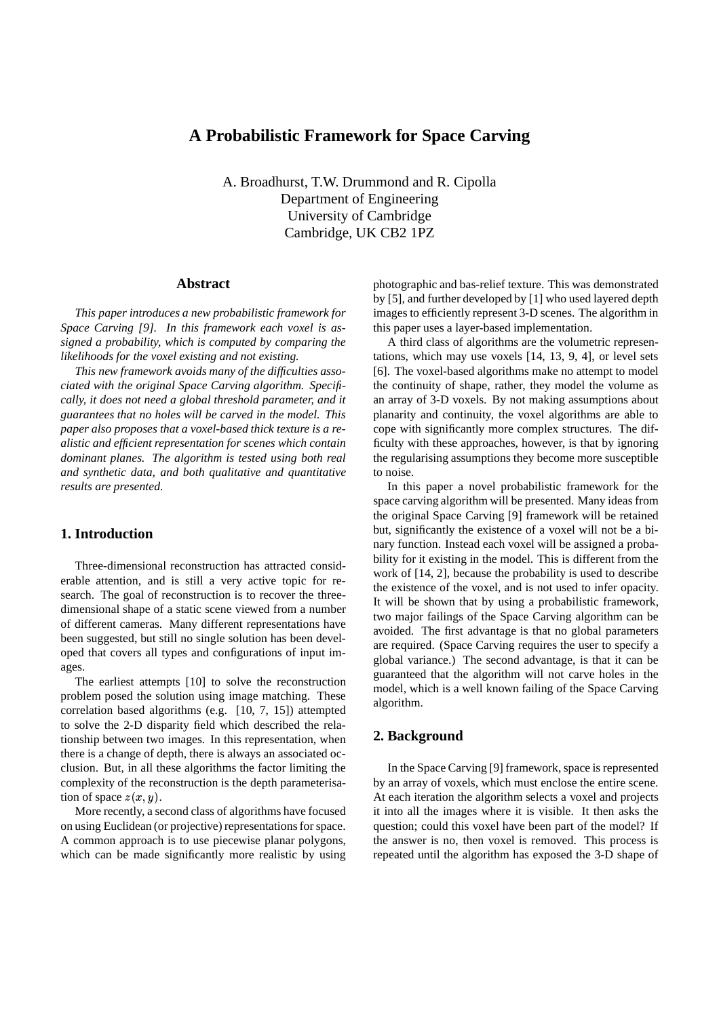# **A Probabilistic Framework for Space Carving**

A. Broadhurst, T.W. Drummond and R. Cipolla Department of Engineering University of Cambridge Cambridge, UK CB2 1PZ

## **Abstract**

*This paper introduces a new probabilistic framework for Space Carving [9]. In this framework each voxel is assigned a probability, which is computed by comparing the likelihoods for the voxel existing and not existing.*

*This new framework avoids many of the difficulties associated with the original Space Carving algorithm. Specifically, it does not need a global threshold parameter, and it guarantees that no holes will be carved in the model. This paper also proposes that a voxel-based thick texture is a realistic and efficient representation for scenes which contain dominant planes. The algorithm is tested using both real and synthetic data, and both qualitative and quantitative results are presented.*

## **1. Introduction**

Three-dimensional reconstruction has attracted considerable attention, and is still a very active topic for research. The goal of reconstruction is to recover the threedimensional shape of a static scene viewed from a number of different cameras. Many different representations have been suggested, but still no single solution has been developed that covers all types and configurations of input images.

The earliest attempts [10] to solve the reconstruction problem posed the solution using image matching. These correlation based algorithms (e.g. [10, 7, 15]) attempted to solve the 2-D disparity field which described the relationship between two images. In this representation, when there is a change of depth, there is always an associated occlusion. But, in all these algorithms the factor limiting the complexity of the reconstruction is the depth parameterisation of space  $z(x, y)$ .

More recently, a second class of algorithms have focused on using Euclidean (or projective) representationsforspace. A common approach is to use piecewise planar polygons, which can be made significantly more realistic by using photographic and bas-relief texture. This was demonstrated by [5], and further developed by [1] who used layered depth images to efficiently represent 3-D scenes. The algorithm in this paper uses a layer-based implementation.

A third class of algorithms are the volumetric representations, which may use voxels [14, 13, 9, 4], or level sets [6]. The voxel-based algorithms make no attempt to model the continuity of shape, rather, they model the volume as an array of 3-D voxels. By not making assumptions about planarity and continuity, the voxel algorithms are able to cope with significantly more complex structures. The difficulty with these approaches, however, is that by ignoring the regularising assumptions they become more susceptible to noise.

In this paper a novel probabilistic framework for the space carving algorithm will be presented. Many ideas from the original Space Carving [9] framework will be retained but, significantly the existence of a voxel will not be a binary function. Instead each voxel will be assigned a probability for it existing in the model. This is different from the work of [14, 2], because the probability is used to describe the existence of the voxel, and is not used to infer opacity. It will be shown that by using a probabilistic framework, two major failings of the Space Carving algorithm can be avoided. The first advantage is that no global parameters are required. (Space Carving requires the user to specify a global variance.) The second advantage, is that it can be guaranteed that the algorithm will not carve holes in the model, which is a well known failing of the Space Carving algorithm.

## **2. Background**

In the Space Carving [9] framework, space is represented by an array of voxels, which must enclose the entire scene. At each iteration the algorithm selects a voxel and projects it into all the images where it is visible. It then asks the question; could this voxel have been part of the model? If the answer is no, then voxel is removed. This process is repeated until the algorithm has exposed the 3-D shape of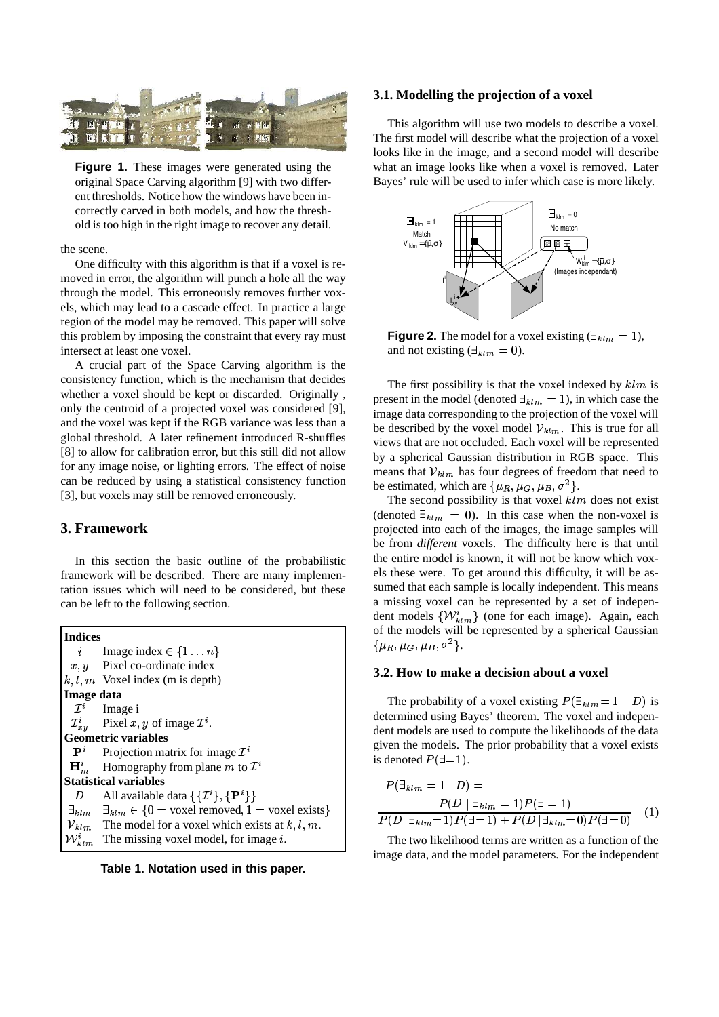

**Figure 1.** These images were generated using the original Space Carving algorithm [9] with two different thresholds. Notice how the windows have been incorrectly carved in both models, and how the threshold is too high in the right image to recover any detail.

#### the scene.

One difficulty with this algorithm is that if a voxel is removed in error, the algorithm will punch a hole all the way through the model. This erroneously removes further voxels, which may lead to a cascade effect. In practice a large region of the model may be removed. This paper will solve this problem by imposing the constraint that every ray must intersect at least one voxel.

A crucial part of the Space Carving algorithm is the consistency function, which is the mechanism that decides whether a voxel should be kept or discarded. Originally , only the centroid of a projected voxel was considered [9], and the voxel was kept if the RGB variance was less than a global threshold. A later refinement introduced R-shuffles [8] to allow for calibration error, but this still did not allow for any image noise, or lighting errors. The effect of noise can be reduced by using a statistical consistency function [3], but voxels may still be removed erroneously.

## **3. Framework**

In this section the basic outline of the probabilistic framework will be described. There are many implementation issues which will need to be considered, but these can be left to the following section.

| <b>Indices</b>               |                                                                                            | of the             |
|------------------------------|--------------------------------------------------------------------------------------------|--------------------|
| $\dot{i}$                    | Image index $\in \{1n\}$                                                                   | $\{\mu_R, \mu$     |
| x, y                         | Pixel co-ordinate index                                                                    | 3.2. H             |
|                              | $k, l, m$ Voxel index (m is depth)                                                         |                    |
| Image data                   |                                                                                            | The                |
| $\mathcal{I}^i$              | Image i                                                                                    |                    |
|                              | $\mathcal{I}_{x,y}^i$ Pixel $x, y$ of image $\mathcal{I}^i$ .                              | determ<br>dent m   |
| <b>Geometric variables</b>   |                                                                                            |                    |
| $\mathbf{P}^i$               | Projection matrix for image $\mathcal{I}^i$                                                | given t<br>is denc |
|                              | $\mathbf{H}_m^i$ Homography from plane m to $\mathcal{I}^i$                                |                    |
| <b>Statistical variables</b> |                                                                                            | $P(\exists$        |
| D                            | All available data $\{\{\mathcal{I}^i\}, \{\mathbf{P}^i\}\}\$                              |                    |
|                              | $\exists_{klm}$ $\exists_{klm} \in \{0 = \text{voxel removed}, 1 = \text{voxel exists}\}\$ |                    |
|                              | $V_{klm}$ The model for a voxel which exists at k, l, m.                                   | P(D)               |
|                              | $W_{klm}^{i}$ The missing voxel model, for image i.                                        | The                |

**Table 1. Notation used in this paper.**

### **3.1. Modelling the projection of a voxel**

This algorithm will use two models to describe a voxel. The first model will describe what the projection of a voxel looks like in the image, and a second model will describe what an image looks like when a voxel is removed. Later Bayes' rule will be used to infer which case is more likely.



**Figure 2.** The model for a voxel existing  $(\exists_{klm} = 1)$ , and not existing  $(\exists_{klm} = 0)$ .

The first possibility is that the voxel indexed by  $klm$  is present in the model (denoted  $\exists_{klm} = 1$ ), in which case the image data corresponding to the projection of the voxel will be described by the voxel model  $V_{klm}$ . This is true for all views that are not occluded. Each voxel will be represented by a spherical Gaussian distribution in RGB space. This means that  $V_{klm}$  has four degrees of freedom that need to be estimated, which are  $\{\mu_R, \mu_G, \mu_B, \sigma^2\}.$ 

The second possibility is that voxel  $klm$  does not exist (denoted  $\exists_{klm} = 0$ ). In this case when the non-voxel is projected into each of the images, the image samples will be from *different* voxels. The difficulty here is that until the entire model is known, it will not be know which voxels these were. To get around this difficulty, it will be assumed that each sample is locally independent. This means a missing voxel can be represented by a set of independent models  $\{W_{klm}^{i}\}$  (one for each image). Again, each of the models will be represented by a spherical Gaussian  $\{\mu_R, \mu_G, \mu_B, \sigma^2\}.$ 

### **3.2. How to make a decision about a voxel**

The probability of a voxel existing  $P(\exists_{klm} = 1 \mid D)$  is determined using Bayes' theorem. The voxel and independent models are used to compute the likelihoods of the data given the models. The prior probability that a voxel exists is denoted  $P(\exists = 1)$ .

$$
P(\exists_{klm} = 1 | D) =
$$
  
 
$$
P(D | \exists_{klm} = 1)P(\exists = 1)
$$
  
 
$$
P(D | \exists_{klm} = 1)P(\exists = 1) + P(D | \exists_{klm} = 0)P(\exists = 0)
$$
 (1)

The two likelihood terms are written as a function of the image data, and the model parameters. For the independent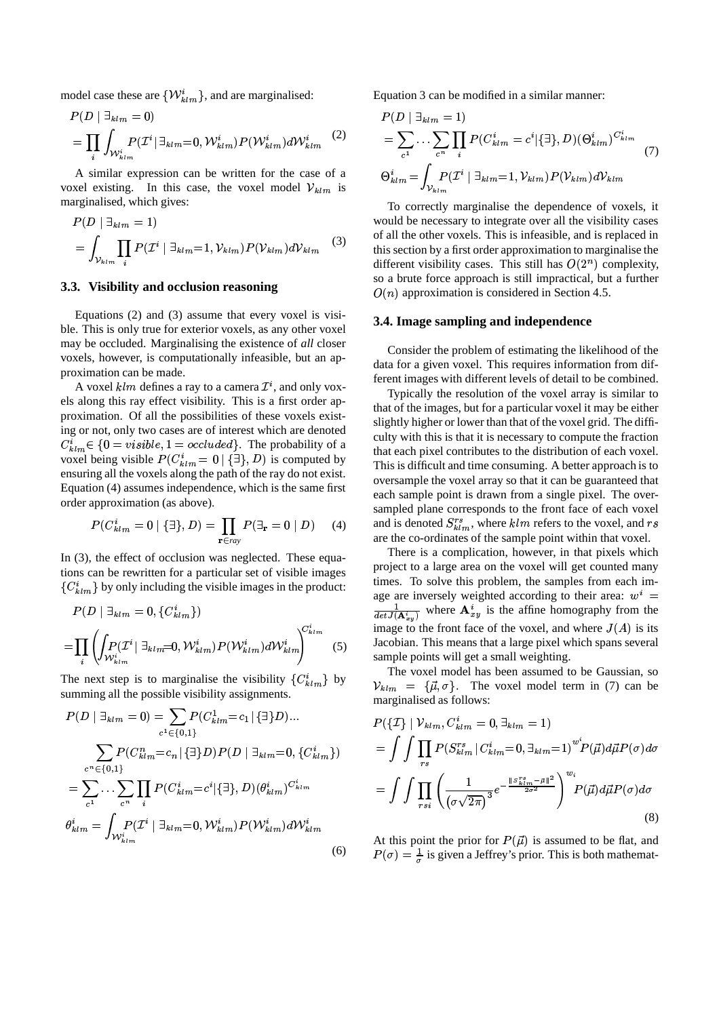model case these are  $\{W_{klm}^{i}\}$ , and are marginalised:

$$
P(D \mid \exists_{klm} = 0) \qquad P
$$
  
= 
$$
\prod_{i} \int_{\mathcal{W}_{klm}^{i}} P(\mathcal{I}^{i} \mid \exists_{klm} = 0, \mathcal{W}_{klm}^{i}) P(\mathcal{W}_{klm}^{i}) d\mathcal{W}_{klm}^{i} \qquad (2) \qquad =
$$

A similar expression can be written for the case of a voxel existing. In this case, the voxel model  $V_{klm}$  is marginalised, which gives:

$$
P(D \mid \exists_{klm} = 1) \qquad \text{wo}
$$
  
=  $\int_{\mathcal{V}_{klm}} \prod_{i} P(\mathcal{I}^i \mid \exists_{klm} = 1, \mathcal{V}_{klm}) P(\mathcal{V}_{klm}) d\mathcal{V}_{klm}$  (3) of  
diff  
diff

## **3.3. Visibility and occlusion reasoning**

Equations (2) and (3) assume that every voxel is visible. This is only true for exterior voxels, as any other voxel may be occluded. Marginalising the existence of *all* closer voxels, however, is computationally infeasible, but an approximation can be made.

A voxel  $klm$  defines a ray to a camera  $\mathcal{I}^i$ , and only voxels along this ray effect visibility. This is a first order approximation. Of all the possibilities of these voxels existing or not, only two cases are of interest which are denoted  $C_{k l m}^{i} \in \{0 = visible, 1 = occluded\}$ . The probability of a voxel being visible  $P(C_{klm}^i = 0 | \{\exists\}, D)$  is computed by ensuring all the voxels along the path of the ray do not exist. Equation (4) assumes independence, which is the same first order approximation (as above).

$$
P(C_{klm}^i = 0 | \{\exists\}, D) = \prod_{\mathbf{r} \in ray} P(\exists_{\mathbf{r}} = 0 | D) \quad (4)
$$

In (3), the effect of occlusion was neglected. These equations can be rewritten for a particular set of visible images  ${C_{klm}^i}$  by only including the visible images in the product:

$$
P(D \mid \exists_{klm} = 0, \{C^i_{klm}\})
$$
  
= 
$$
\prod_i \left( \int_{\mathcal{W}_{klm}^i} P(\mathcal{I}^i \mid \exists_{klm} = 0, \mathcal{W}_{klm}^i) P(\mathcal{W}_{klm}^i) d\mathcal{W}_{klm}^i \right)^{C^i_{klm}}
$$
 (5)

The next step is to marginalise the visibility  ${C_{klm}^i}$  by  $\qquad \gamma$ summing all the possible visibility assignments.

$$
P(D \mid \exists_{klm} = 0) = \sum_{c^1 \in \{0,1\}} P(C_{klm}^1 = c_1 | \{\exists\} D) ...
$$
  
\n
$$
\sum_{c^n \in \{0,1\}} P(C_{klm}^n = c_n | \{\exists\} D) P(D \mid \exists_{klm} = 0, \{C_{klm}^i\})
$$
  
\n
$$
= \sum_{c^1} ... \sum_{c^n} \prod_i P(C_{klm}^i = c^i | \{\exists\}, D) (\theta_{klm}^i)^{C_{klm}^i}
$$
  
\n
$$
= \int_{\theta_{klm}^i} P(\mathcal{I}^i | \exists_{klm} = 0, \mathcal{W}_{klm}^i) P(\mathcal{W}_{klm}^i) d\mathcal{W}_{klm}^i
$$
  
\nAt th  
\n(6)  $P(\sigma)$ 

Equation 3 can be modified in a similar manner:

$$
P(D \mid \exists_{klm} = 1)
$$
  
=  $\sum_{c^1} \cdots \sum_{c^n} \prod_i P(C_{klm}^i = c^i | \{\exists\}, D) (\Theta_{klm}^i)^{C_{klm}^i}$   

$$
\Theta_{klm}^i = \int_{\mathcal{V}_{klm}} P(\mathcal{I}^i \mid \exists_{klm} = 1, \mathcal{V}_{klm}) P(\mathcal{V}_{klm}) d\mathcal{V}_{klm}
$$
 (7)

To correctly marginalise the dependence of voxels, it would be necessary to integrate over all the visibility cases of all the other voxels. This is infeasible, and is replaced in this section by a first order approximation to marginalise the different visibility cases. This still has  $O(2^n)$  complexity, so a brute force approach is still impractical, but a further  $O(n)$  approximation is considered in Section 4.5.

#### **3.4. Image sampling and independence**

Consider the problem of estimating the likelihood of the data for a given voxel. This requires information from different images with different levels of detail to be combined.

Typically the resolution of the voxel array is similar to that of the images, but for a particular voxel it may be either slightly higher or lower than that of the voxel grid. The difficulty with this is that it is necessary to compute the fraction that each pixel contributes to the distribution of each voxel. This is difficult and time consuming. A better approach is to oversample the voxel array so that it can be guaranteed that each sample point is drawn from a single pixel. The oversampled plane corresponds to the front face of each voxel and is denoted  $S_{klm}^{rs}$ , where  $klm$  refers to the voxel, and rs are the co-ordinates of the sample point within that voxel.

image to the front face of the voxel, and where  $J(A)$  is its There is a complication, however, in that pixels which project to a large area on the voxel will get counted many times. To solve this problem, the samples from each image are inversely weighted according to their area:  $w^i =$  $1$  and  $1$  and  $1$  and  $1$  and  $1$ age are inversely weighted according<br> $\frac{1}{\det U(\mathbf{A}^i)}$  where  $\mathbf{A}^i_{x,y}$  is the affine h  $i_{x,y}$  is the affine homography from the Jacobian. This means that a large pixel which spans several sample points will get a small weighting.

The voxel model has been assumed to be Gaussian, so  $V_{klm} = {\vec{\mu}, \sigma}$ . The voxel model term in (7) can be marginalised as follows:

$$
P(\lbrace \mathcal{I} \rbrace | \mathcal{V}_{klm}, C_{klm}^{i} = 0, \exists_{klm} = 1)
$$
  
= 
$$
\int \int \prod_{rs} P(S_{klm}^{rs} | C_{klm}^{i} = 0, \exists_{klm} = 1)^{w^{i}} P(\vec{\mu}) d\vec{\mu} P(\sigma) d\sigma
$$
  
= 
$$
\int \int \prod_{rsi} \left( \frac{1}{(\sigma \sqrt{2\pi})^{3}} e^{-\frac{\Vert S_{klm}^{rs} - \vec{\mu} \Vert^{2}}{2\sigma^{2}}} \right)^{w_{i}} P(\vec{\mu}) d\vec{\mu} P(\sigma) d\sigma
$$
(8)

At this point the prior for  $P(\vec{\mu})$  is assumed to be flat, and  $P(\sigma) = \frac{1}{\sigma}$  is given a Jeffrey's prior. This is both mathemat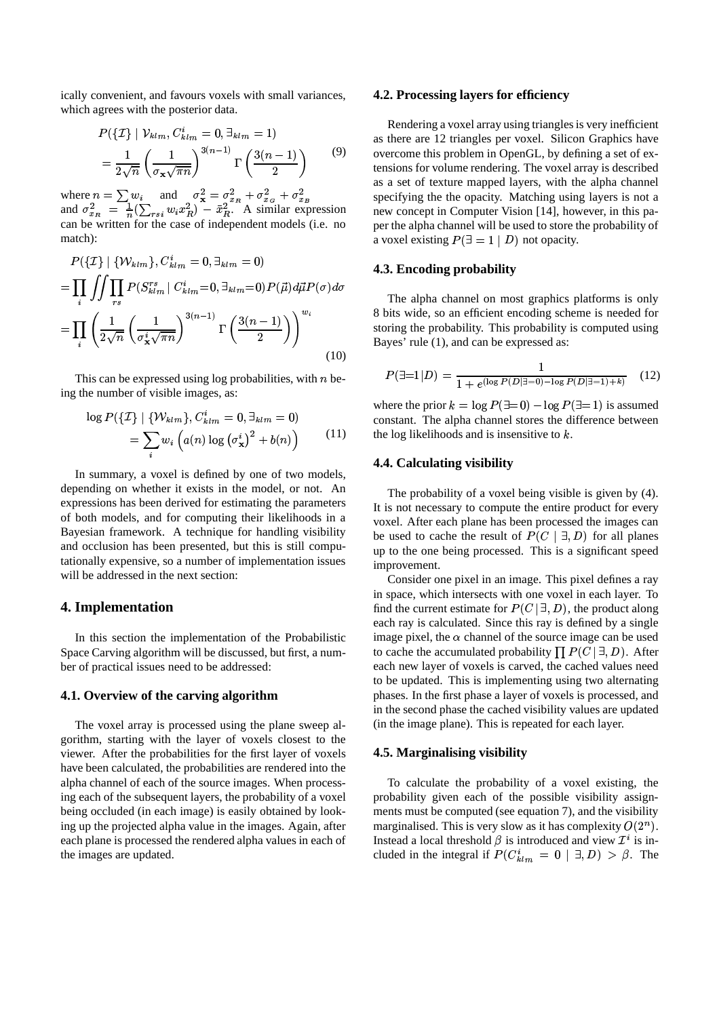ically convenient, and favours voxels with small variances, which agrees with the posterior data.

$$
P(\lbrace \mathcal{I} \rbrace | \mathcal{V}_{klm}, C_{klm}^{i} = 0, \exists_{klm} = 1)
$$

$$
= \frac{1}{2\sqrt{n}} \left(\frac{1}{\sigma_{\mathbf{x}}\sqrt{\pi n}}\right)^{3(n-1)} \Gamma\left(\frac{3(n-1)}{2}\right)
$$
(9)

where  $n = \sum w_i$  and  $\sigma_{\mathbf{x}}^2 = \sigma_{x_B}^2 + \sigma_{x_G}^2 + \sigma_{x_B}^2$ and  $\sigma_{x_B}^2 = \frac{1}{n} (\sum_{rsi} w_i x_B^2) - \bar{x}_B^2$ . A similar expression can be written for the case of independent models (i.e. no match):

$$
P(\lbrace \mathcal{I} \rbrace | \{ \mathcal{W}_{klm} \}, C_{klm}^{i} = 0, \exists_{klm} = 0)
$$
\n
$$
= \prod_{i} \int \int \prod_{rs} P(S_{klm}^{rs} | C_{klm}^{i} = 0, \exists_{klm} = 0) P(\vec{\mu}) d\vec{\mu} P(\sigma) d\sigma
$$
\n
$$
= \prod_{i} \left( \frac{1}{2\sqrt{n}} \left( \frac{1}{\sigma_{\mathbf{x}}^{i} \sqrt{\pi n}} \right)^{3(n-1)} \Gamma\left(\frac{3(n-1)}{2}\right) \right)^{w_{i}}
$$
\n8 bits  
\n8 bits  
\n8 bits  
\n8 bytes  
\n100

This can be expressed using  $log$  probabilities, with  $n$  being the number of visible images, as:

$$
\log P(\{\mathcal{I}\} \mid \{\mathcal{W}_{klm}\}, C_{klm}^i = 0, \exists_{klm} = 0)
$$

$$
= \sum_i w_i \left( a(n) \log \left(\sigma_{\mathbf{x}}^i\right)^2 + b(n) \right) \tag{11}
$$

In summary, a voxel is defined by one of two models, depending on whether it exists in the model, or not. An expressions has been derived for estimating the parameters of both models, and for computing their likelihoods in a Bayesian framework. A technique for handling visibility and occlusion has been presented, but this is still computationally expensive, so a number of implementation issues will be addressed in the next section:

## **4. Implementation**

In this section the implementation of the Probabilistic Space Carving algorithm will be discussed, but first, a number of practical issues need to be addressed:

## **4.1. Overview of the carving algorithm**

The voxel array is processed using the plane sweep algorithm, starting with the layer of voxels closest to the viewer. After the probabilities for the first layer of voxels have been calculated, the probabilities are rendered into the alpha channel of each of the source images. When processing each of the subsequent layers, the probability of a voxel being occluded (in each image) is easily obtained by looking up the projected alpha value in the images. Again, after each plane is processed the rendered alpha values in each of the images are updated.

#### **4.2. Processing layers for efficiency**

Rendering a voxel array using triangles is very inefficient as there are 12 triangles per voxel. Silicon Graphics have overcome this problem in OpenGL, by defining a set of extensions for volume rendering. The voxel array is described as a set of texture mapped layers, with the alpha channel specifying the the opacity. Matching using layers is not a new concept in Computer Vision [14], however, in this paper the alpha channel will be used to store the probability of a voxel existing  $P(\exists = 1 \mid D)$  not opacity.

### **4.3. Encoding probability**

The alpha channel on most graphics platforms is only 8 bits wide, so an efficient encoding scheme is needed for storing the probability. This probability is computed using Bayes' rule (1), and can be expressed as:

$$
P(\exists=1|D) = \frac{1}{1 + e^{(\log P(D|\exists=0) - \log P(D|\exists=1) + k)}} \quad (12)
$$

where the prior  $k = \log P(\exists = 0) - \log P(\exists = 1)$  is assumed constant. The alpha channel stores the difference between the log likelihoods and is insensitive to  $k$ .

### **4.4. Calculating visibility**

The probability of a voxel being visible is given by (4). It is not necessary to compute the entire product for every voxel. After each plane has been processed the images can be used to cache the result of  $P(C | \exists, D)$  for all planes up to the one being processed. This is a significant speed improvement.

Consider one pixel in an image. This pixel defines a ray in space, which intersects with one voxel in each layer. To find the current estimate for  $P(C | \exists, D)$ , the product along each ray is calculated. Since this ray is defined by a single image pixel, the  $\alpha$  channel of the source image can be used to cache the accumulated probability  $\prod P(C | \exists, D)$ . After each new layer of voxels is carved, the cached values need to be updated. This is implementing using two alternating phases. In the first phase a layer of voxels is processed, and in the second phase the cached visibility values are updated (in the image plane). This is repeated for each layer.

## **4.5. Marginalising visibility**

To calculate the probability of a voxel existing, the probability given each of the possible visibility assignments must be computed (see equation 7), and the visibility marginalised. This is very slow as it has complexity  $O(2^n)$ . Instead a local threshold  $\beta$  is introduced and view  $\mathcal{I}^i$  is included in the integral if  $P(C_{klm}^i = 0 | \exists, D) > \beta$ . The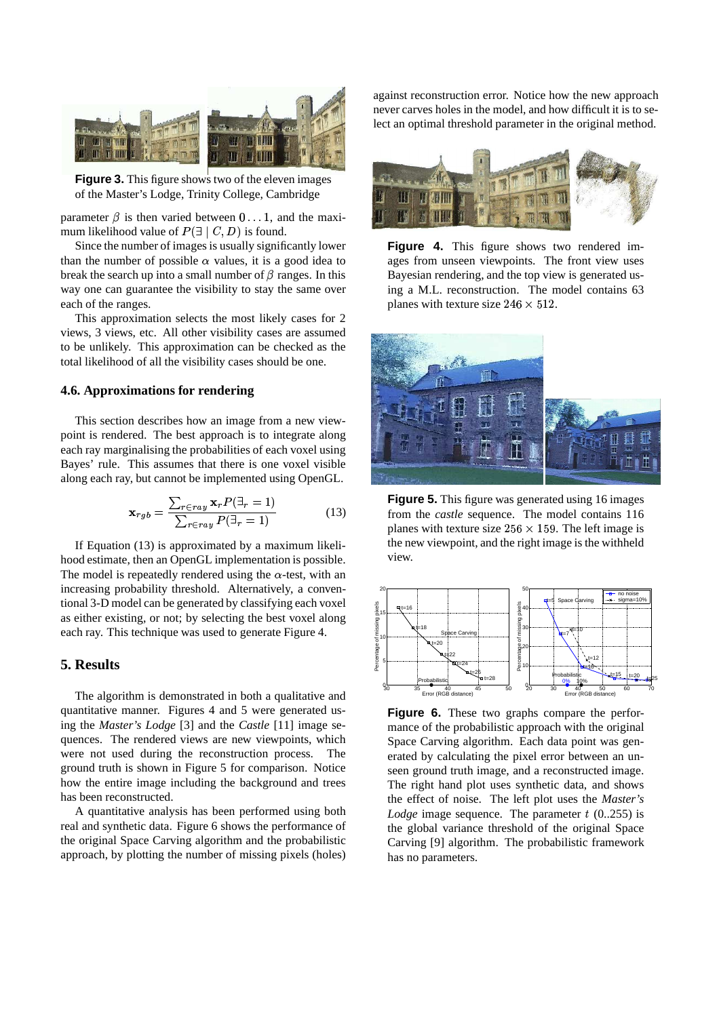

**Figure 3.** This figure shows two of the eleven images of the Master's Lodge, Trinity College, Cambridge

parameter  $\beta$  is then varied between  $0 \dots 1$ , and the maximum likelihood value of  $P(\exists \mid C, D)$  is found.

Since the number of images is usually significantly lower than the number of possible  $\alpha$  values, it is a good idea to break the search up into a small number of  $\beta$  ranges. In this way one can guarantee the visibility to stay the same over each of the ranges.

This approximation selects the most likely cases for 2 views, 3 views, etc. All other visibility cases are assumed to be unlikely. This approximation can be checked as the total likelihood of all the visibility cases should be one.

## **4.6. Approximations for rendering**

This section describes how an image from a new viewpoint is rendered. The best approach is to integrate along each ray marginalising the probabilities of each voxel using Bayes' rule. This assumes that there is one voxel visible along each ray, but cannot be implemented using OpenGL.

$$
\mathbf{x}_{rgb} = \frac{\sum_{r \in ray} \mathbf{x}_r P(\exists_r = 1)}{\sum_{r \in ray} P(\exists_r = 1)}
$$
(13)

If Equation (13) is approximated by a maximum likelihood estimate, then an OpenGL implementation is possible. The model is repeatedly rendered using the  $\alpha$ -test, with an increasing probability threshold. Alternatively, a conventional 3-D model can be generated by classifying each voxel as either existing, or not; by selecting the best voxel along each ray. This technique was used to generate Figure 4.

### **5. Results**

The algorithm is demonstrated in both a qualitative and quantitative manner. Figures 4 and 5 were generated using the *Master's Lodge* [3] and the *Castle* [11] image sequences. The rendered views are new viewpoints, which were not used during the reconstruction process. The ground truth is shown in Figure 5 for comparison. Notice how the entire image including the background and trees has been reconstructed.

A quantitative analysis has been performed using both real and synthetic data. Figure 6 shows the performance of the original Space Carving algorithm and the probabilistic approach, by plotting the number of missing pixels (holes) against reconstruction error. Notice how the new approach never carves holes in the model, and how difficult it is to select an optimal threshold parameter in the original method.







**Figure 5.** This figure was generated using 16 images from the *castle* sequence. The model contains 116 planes with texture size  $256 \times 159$ . The left image is the new viewpoint, and the right image is the withheld view.



**Figure 6.** These two graphs compare the performance of the probabilistic approach with the original Space Carving algorithm. Each data point was generated by calculating the pixel error between an unseen ground truth image, and a reconstructed image. The right hand plot uses synthetic data, and shows the effect of noise. The left plot uses the *Master's Lodge* image sequence. The parameter  $t$  (0..255) is the global variance threshold of the original Space Carving [9] algorithm. The probabilistic framework has no parameters.